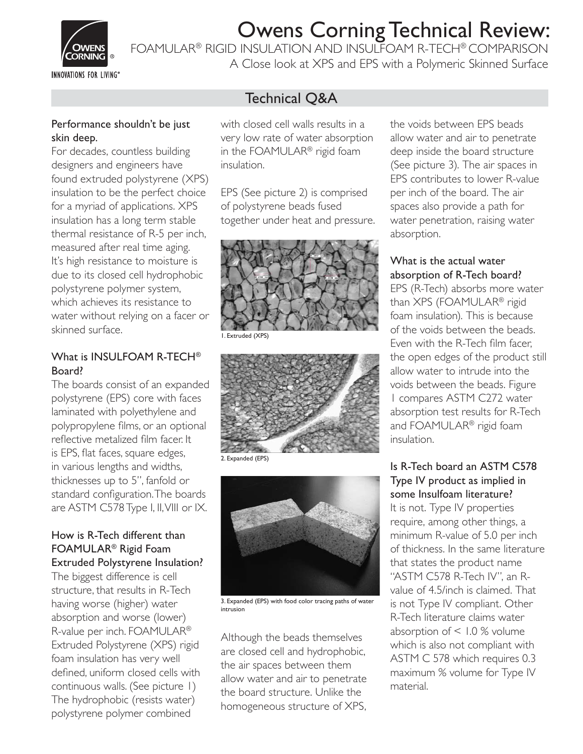

FOAMULAR® RIGID INSULATION AND INSULFOAM R-TECH® COMPARISON

**INNOVATIONS FOR LIVING®** 

A Close look at XPS and EPS with a Polymeric Skinned Surface

## Technical Q&A

#### Performance shouldn't be just skin deep.

For decades, countless building designers and engineers have found extruded polystyrene (XPS) insulation to be the perfect choice for a myriad of applications. XPS insulation has a long term stable thermal resistance of R-5 per inch, measured after real time aging. It's high resistance to moisture is due to its closed cell hydrophobic polystyrene polymer system, which achieves its resistance to water without relying on a facer or skinned surface.

#### What is INSULFOAM R-TECH® Board?

The boards consist of an expanded polystyrene (EPS) core with faces laminated with polyethylene and polypropylene films, or an optional reflective metalized film facer. It is EPS, flat faces, square edges, in various lengths and widths, thicknesses up to 5", fanfold or standard configuration. The boards are ASTM C578 Type I, II, VIII or IX.

#### How is R-Tech different than FOAMULAR® Rigid Foam Extruded Polystyrene Insulation?

The biggest difference is cell structure, that results in R-Tech having worse (higher) water absorption and worse (lower) R-value per inch. FOAMULAR® Extruded Polystyrene (XPS) rigid foam insulation has very well defined, uniform closed cells with continuous walls. (See picture 1) The hydrophobic (resists water) polystyrene polymer combined

with closed cell walls results in a very low rate of water absorption in the FOAMULAR® rigid foam insulation.

EPS (See picture 2) is comprised of polystyrene beads fused together under heat and pressure.



1. Extruded (XPS)



2. Expanded (EPS)



3. Expanded (EPS) with food color tracing paths of water intrusion

Although the beads themselves are closed cell and hydrophobic, the air spaces between them allow water and air to penetrate the board structure. Unlike the homogeneous structure of XPS, the voids between EPS beads allow water and air to penetrate deep inside the board structure (See picture 3). The air spaces in EPS contributes to lower R-value per inch of the board. The air spaces also provide a path for water penetration, raising water absorption.

#### What is the actual water absorption of R-Tech board?

EPS (R-Tech) absorbs more water than XPS (FOAMULAR® rigid foam insulation). This is because of the voids between the beads. Even with the R-Tech film facer. the open edges of the product still allow water to intrude into the voids between the beads. Figure 1 compares ASTM C272 water absorption test results for R-Tech and FOAMULAR® rigid foam insulation.

#### Is R-Tech board an ASTM C578 Type IV product as implied in some Insulfoam literature?

It is not. Type IV properties require, among other things, a minimum R-value of 5.0 per inch of thickness. In the same literature that states the product name "ASTM C578 R-Tech IV", an Rvalue of 4.5/inch is claimed. That is not Type IV compliant. Other R-Tech literature claims water absorption of < 1.0 % volume which is also not compliant with ASTM C 578 which requires 0.3 maximum % volume for Type IV material.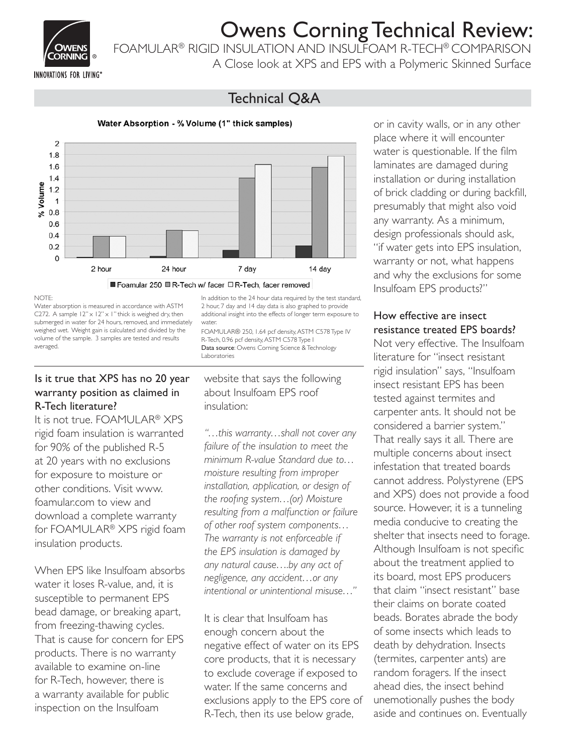

FOAMULAR® RIGID INSULATION AND INSULFOAM R-TECH® COMPARISON

A Close look at XPS and EPS with a Polymeric Skinned Surface

## Technical Q&A



Water Absorption - % Volume (1" thick samples)

#### NOTE:

Water absorption is measured in accordance with ASTM C272. A sample  $12" \times 12" \times 1"$  thick is weighed dry, then submerged in water for 24 hours, removed, and immediately weighed wet. Weight gain is calculated and divided by the volume of the sample. 3 samples are tested and results averaged.

#### Is it true that XPS has no 20 year warranty position as claimed in R-Tech literature?

It is not true. FOAMULAR® XPS rigid foam insulation is warranted for 90% of the published R-5 at 20 years with no exclusions for exposure to moisture or other conditions. Visit www. foamular.com to view and download a complete warranty for FOAMULAR® XPS rigid foam insulation products.

When EPS like Insulfoam absorbs water it loses R-value, and, it is susceptible to permanent EPS bead damage, or breaking apart, from freezing-thawing cycles. That is cause for concern for EPS products. There is no warranty available to examine on-line for R-Tech, however, there is a warranty available for public inspection on the Insulfoam

In addition to the 24 hour data required by the test standard, 2 hour, 7 day and 14 day data is also graphed to provide additional insight into the effects of longer term exposure to water.

FOAMULAR® 250, 1.64 pcf density, ASTM C578 Type IV R-Tech, 0.96 pcf density, ASTM C578 Type I Data source: Owens Corning Science & Technology Laboratories

website that says the following about Insulfoam EPS roof insulation:

*"…this warranty…shall not cover any failure of the insulation to meet the minimum R-value Standard due to… moisture resulting from improper installation, application, or design of the roofing system...(or) Moisture resulting from a malfunction or failure of other roof system components… The warranty is not enforceable if the EPS insulation is damaged by any natural cause….by any act of negligence, any accident…or any intentional or unintentional misuse…"* 

It is clear that Insulfoam has enough concern about the negative effect of water on its EPS core products, that it is necessary to exclude coverage if exposed to water. If the same concerns and exclusions apply to the EPS core of R-Tech, then its use below grade,

or in cavity walls, or in any other place where it will encounter water is questionable. If the film laminates are damaged during installation or during installation of brick cladding or during backfill, presumably that might also void any warranty. As a minimum, design professionals should ask, "if water gets into EPS insulation, warranty or not, what happens and why the exclusions for some Insulfoam EPS products?"

### How effective are insect resistance treated EPS boards?

Not very effective. The Insulfoam literature for "insect resistant rigid insulation" says, "Insulfoam insect resistant EPS has been tested against termites and carpenter ants. It should not be considered a barrier system." That really says it all. There are multiple concerns about insect infestation that treated boards cannot address. Polystyrene (EPS and XPS) does not provide a food source. However, it is a tunneling media conducive to creating the shelter that insects need to forage. Although Insulfoam is not specific about the treatment applied to its board, most EPS producers that claim "insect resistant" base their claims on borate coated beads. Borates abrade the body of some insects which leads to death by dehydration. Insects (termites, carpenter ants) are random foragers. If the insect ahead dies, the insect behind unemotionally pushes the body aside and continues on. Eventually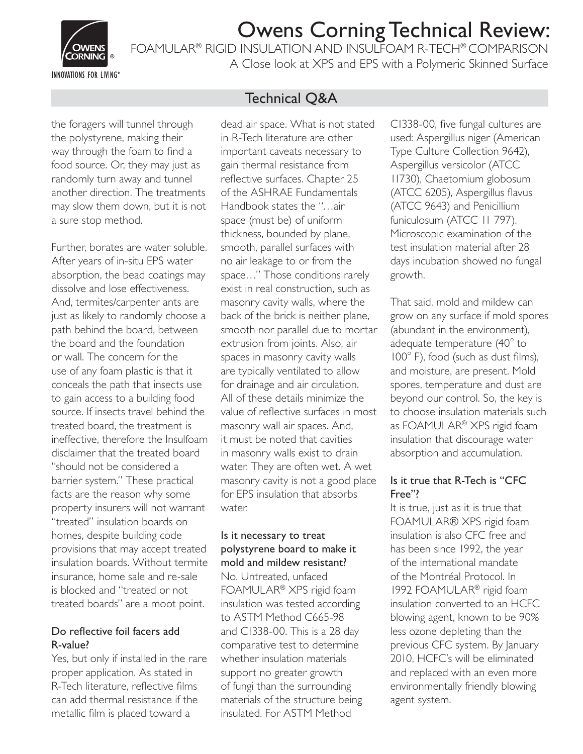

FOAMULAR® RIGID INSULATION AND INSULFOAM R-TECH® COMPARISON

**INNOVATIONS FOR LIVING®** 

A Close look at XPS and EPS with a Polymeric Skinned Surface

the foragers will tunnel through the polystyrene, making their way through the foam to find a food source. Or, they may just as randomly turn away and tunnel another direction. The treatments may slow them down, but it is not a sure stop method.

Further, borates are water soluble. After years of in-situ EPS water absorption, the bead coatings may dissolve and lose effectiveness. And, termites/carpenter ants are just as likely to randomly choose a path behind the board, between the board and the foundation or wall. The concern for the use of any foam plastic is that it conceals the path that insects use to gain access to a building food source. If insects travel behind the treated board, the treatment is ineffective, therefore the Insulfoam disclaimer that the treated board "should not be considered a barrier system." These practical facts are the reason why some property insurers will not warrant "treated" insulation boards on homes, despite building code provisions that may accept treated insulation boards. Without termite insurance, home sale and re-sale is blocked and "treated or not treated boards" are a moot point.

#### Do reflective foil facers add R-value?

Yes, but only if installed in the rare proper application. As stated in R-Tech literature, reflective films can add thermal resistance if the metallic film is placed toward a

## Technical Q&A

dead air space. What is not stated in R-Tech literature are other important caveats necessary to gain thermal resistance from reflective surfaces. Chapter 25 of the ASHRAE Fundamentals Handbook states the "…air space (must be) of uniform thickness, bounded by plane, smooth, parallel surfaces with no air leakage to or from the space…" Those conditions rarely exist in real construction, such as masonry cavity walls, where the back of the brick is neither plane, smooth nor parallel due to mortar extrusion from joints. Also, air spaces in masonry cavity walls are typically ventilated to allow for drainage and air circulation. All of these details minimize the value of reflective surfaces in most masonry wall air spaces. And, it must be noted that cavities in masonry walls exist to drain water. They are often wet. A wet masonry cavity is not a good place for EPS insulation that absorbs water.

#### Is it necessary to treat polystyrene board to make it mold and mildew resistant?

No. Untreated, unfaced FOAMULAR® XPS rigid foam insulation was tested according to ASTM Method C665-98 and C1338-00. This is a 28 day comparative test to determine whether insulation materials support no greater growth of fungi than the surrounding materials of the structure being insulated. For ASTM Method

C1338-00, five fungal cultures are used: Aspergillus niger (American Type Culture Collection 9642), Aspergillus versicolor (ATCC 11730), Chaetomium globosum (ATCC 6205), Aspergillus flavus (ATCC 9643) and Penicillium funiculosum (ATCC 11 797). Microscopic examination of the test insulation material after 28 days incubation showed no fungal growth.

That said, mold and mildew can grow on any surface if mold spores (abundant in the environment), adequate temperature  $(40^{\circ}$  to 100° F), food (such as dust films), and moisture, are present. Mold spores, temperature and dust are beyond our control. So, the key is to choose insulation materials such as FOAMULAR® XPS rigid foam insulation that discourage water absorption and accumulation.

#### Is it true that R-Tech is "CFC Free"?

It is true, just as it is true that FOAMULAR® XPS rigid foam insulation is also CFC free and has been since 1992, the year of the international mandate of the Montréal Protocol. In 1992 FOAMULAR® rigid foam insulation converted to an HCFC blowing agent, known to be 90% less ozone depleting than the previous CFC system. By January 2010, HCFC's will be eliminated and replaced with an even more environmentally friendly blowing agent system.